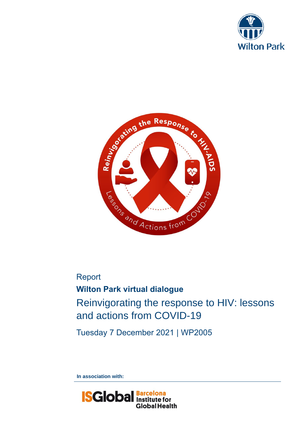



Report **Wilton Park virtual dialogue** Reinvigorating the response to HIV: lessons and actions from COVID-19

Tuesday 7 December 2021 | WP2005

**In association with:**

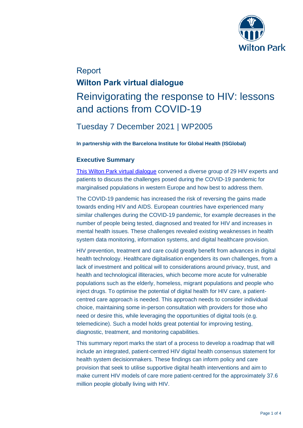

# Report **Wilton Park virtual dialogue** Reinvigorating the response to HIV: lessons and actions from COVID-19

## Tuesday 7 December 2021 | WP2005

**In partnership with the Barcelona Institute for Global Health (ISGlobal)**

## **Executive Summary**

[This Wilton Park virtual dialogue](https://www.wiltonpark.org.uk/event/reinvigorating-the-response-to-hiv-lessons-and-actions-from-covid-19/) convened a diverse group of 29 HIV experts and patients to discuss the challenges posed during the COVID-19 pandemic for marginalised populations in western Europe and how best to address them.

The COVID-19 pandemic has increased the risk of reversing the gains made towards ending HIV and AIDS. European countries have experienced many similar challenges during the COVID-19 pandemic, for example decreases in the number of people being tested, diagnosed and treated for HIV and increases in mental health issues. These challenges revealed existing weaknesses in health system data monitoring, information systems, and digital healthcare provision.

HIV prevention, treatment and care could greatly benefit from advances in digital health technology. Healthcare digitalisation engenders its own challenges, from a lack of investment and political will to considerations around privacy, trust, and health and technological illiteracies, which become more acute for vulnerable populations such as the elderly, homeless, migrant populations and people who inject drugs. To optimise the potential of digital health for HIV care, a patientcentred care approach is needed. This approach needs to consider individual choice, maintaining some in-person consultation with providers for those who need or desire this, while leveraging the opportunities of digital tools (e.g. telemedicine). Such a model holds great potential for improving testing, diagnostic, treatment, and monitoring capabilities.

This summary report marks the start of a process to develop a roadmap that will include an integrated, patient-centred HIV digital health consensus statement for health system decisionmakers. These findings can inform policy and care provision that seek to utilise supportive digital health interventions and aim to make current HIV models of care more patient-centred for the approximately 37.6 million people globally living with HIV.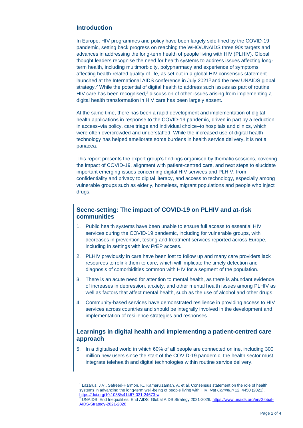### **Introduction**

In Europe, HIV programmes and policy have been largely side-lined by the COVID-19 pandemic, setting back progress on reaching the WHO/UNAIDS three 90s targets and advances in addressing the long-term health of people living with HIV (PLHIV). Global thought leaders recognise the need for health systems to address issues affecting longterm health, including multimorbidity, polypharmacy and experience of symptoms affecting health-related quality of life, as set out in a global HIV consensus statement launched at the International AIDS conference in July 2021<sup>1</sup> and the new UNAIDS global strategy.<sup>2</sup> While the potential of digital health to address such issues as part of routine HIV care has been recognised.<sup>2</sup> discussion of other issues arising from implementing a digital health transformation in HIV care has been largely absent.

At the same time, there has been a rapid development and implementation of digital health applications in response to the COVID-19 pandemic, driven in part by a reduction in access–via policy, care triage and individual choice–to hospitals and clinics, which were often overcrowded and understaffed. While the increased use of digital health technology has helped ameliorate some burdens in health service delivery, it is not a panacea.

This report presents the expert group's findings organised by thematic sessions, covering the impact of COVID-19, alignment with patient-centred care, and next steps to elucidate important emerging issues concerning digital HIV services and PLHIV, from confidentiality and privacy to digital literacy, and access to technology, especially among vulnerable groups such as elderly, homeless, migrant populations and people who inject drugs.

## **Scene-setting: The impact of COVID-19 on PLHIV and at-risk communities**

- 1. Public health systems have been unable to ensure full access to essential HIV services during the COVID-19 pandemic, including for vulnerable groups, with decreases in prevention, testing and treatment services reported across Europe, including in settings with low PrEP access.
- 2. PLHIV previously in care have been lost to follow up and many care providers lack resources to relink them to care, which will implicate the timely detection and diagnosis of comorbidities common with HIV for a segment of the population.
- 3. There is an acute need for attention to mental health, as there is abundant evidence of increases in depression, anxiety, and other mental health issues among PLHIV as well as factors that affect mental health, such as the use of alcohol and other drugs.
- 4. Community-based services have demonstrated resilience in providing access to HIV services across countries and should be integrally involved in the development and implementation of resilience strategies and responses.

## **Learnings in digital health and implementing a patient-centred care approach**

5. In a digitalised world in which 60% of all people are connected online, including 300 million new users since the start of the COVID-19 pandemic, the health sector must integrate telehealth and digital technologies within routine service delivery.

<sup>1</sup> Lazarus, J.V., Safreed-Harmon, K., Kamarulzaman, A. et al. Consensus statement on the role of health systems in advancing the long-term well-being of people living with HIV. *Nat Commun* 12, 4450 (2021). <https://doi.org/10.1038/s41467-021-24673-w>

<sup>2</sup> UNAIDS. End Inequalities. End AIDS. Global AIDS Strategy 2021-2026[. https://www.unaids.org/en/Global-](https://www.unaids.org/en/Global-AIDS-Strategy-2021-2026)[AIDS-Strategy-2021-2026](https://www.unaids.org/en/Global-AIDS-Strategy-2021-2026)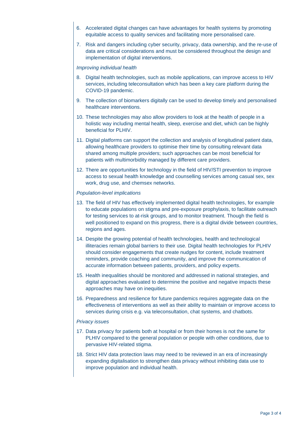- 6. Accelerated digital changes can have advantages for health systems by promoting equitable access to quality services and facilitating more personalised care.
- 7. Risk and dangers including cyber security, privacy, data ownership, and the re-use of data are critical considerations and must be considered throughout the design and implementation of digital interventions.

#### *Improving individual health*

- 8. Digital health technologies, such as mobile applications, can improve access to HIV services, including teleconsultation which has been a key care platform during the COVID-19 pandemic.
- 9. The collection of biomarkers digitally can be used to develop timely and personalised healthcare interventions.
- 10. These technologies may also allow providers to look at the health of people in a holistic way including mental health, sleep, exercise and diet, which can be highly beneficial for PLHIV.
- 11. Digital platforms can support the collection and analysis of longitudinal patient data, allowing healthcare providers to optimise their time by consulting relevant data shared among multiple providers; such approaches can be most beneficial for patients with multimorbidity managed by different care providers.
- 12. There are opportunities for technology in the field of HIV/STI prevention to improve access to sexual health knowledge and counselling services among casual sex, sex work, drug use, and chemsex networks.

#### *Population-level implications*

- 13. The field of HIV has effectively implemented digital health technologies, for example to educate populations on stigma and pre-exposure prophylaxis, to facilitate outreach for testing services to at-risk groups, and to monitor treatment. Though the field is well positioned to expand on this progress, there is a digital divide between countries, regions and ages.
- 14. Despite the growing potential of health technologies, health and technological illiteracies remain global barriers to their use. Digital health technologies for PLHIV should consider engagements that create nudges for content, include treatment reminders, provide coaching and community, and improve the communication of accurate information between patients, providers, and policy experts.
- 15. Health inequalities should be monitored and addressed in national strategies, and digital approaches evaluated to determine the positive and negative impacts these approaches may have on inequities.
- 16. Preparedness and resilience for future pandemics requires aggregate data on the effectiveness of interventions as well as their ability to maintain or improve access to services during crisis e.g. via teleconsultation, chat systems, and chatbots.

#### *Privacy issues*

- 17. Data privacy for patients both at hospital or from their homes is not the same for PLHIV compared to the general population or people with other conditions, due to pervasive HIV-related stigma.
- 18. Strict HIV data protection laws may need to be reviewed in an era of increasingly expanding digitalisation to strengthen data privacy without inhibiting data use to improve population and individual health.